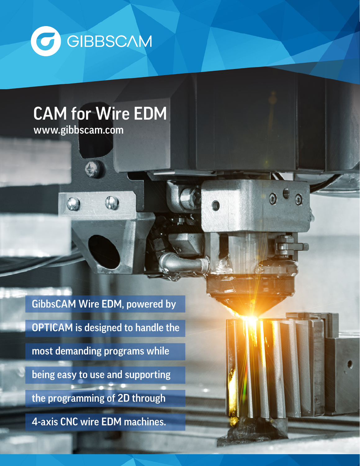

# CAM for Wire EDM

0

 $\odot$ 

 $\odot$ 

www.gibbscam.com

GibbsCAM Wire EDM, powered by OPTICAM is designed to handle the most demanding programs while being easy to use and supporting the programming of 2D through 4-axis CNC wire EDM machines.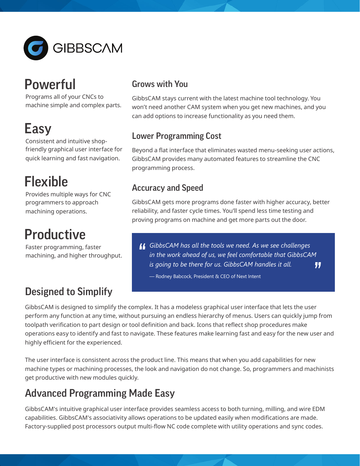

# **Powerful**

Programs all of your CNCs to machine simple and complex parts.

# Easy

Consistent and intuitive shopfriendly graphical user interface for quick learning and fast navigation.

# Flexible

Provides multiple ways for CNC programmers to approach machining operations.

# **Productive**

Faster programming, faster machining, and higher throughput.

# Designed to Simplify

### Grows with You

GibbsCAM stays current with the latest machine tool technology. You won't need another CAM system when you get new machines, and you can add options to increase functionality as you need them.

## Lower Programming Cost

Beyond a flat interface that eliminates wasted menu-seeking user actions, GibbsCAM provides many automated features to streamline the CNC programming process.

## Accuracy and Speed

GibbsCAM gets more programs done faster with higher accuracy, better reliability, and faster cycle times. You'll spend less time testing and proving programs on machine and get more parts out the door.

*GibbsCAM has all the tools we need. As we see challenges in the work ahead of us, we feel comfortable that GibbsCAM is going to be there for us. GibbsCAM handles it all.* "

— Rodney Babcock, President & CEO of Next Intent

GibbsCAM is designed to simplify the complex. It has a modeless graphical user interface that lets the user perform any function at any time, without pursuing an endless hierarchy of menus. Users can quickly jump from toolpath verification to part design or tool definition and back. Icons that reflect shop procedures make operations easy to identify and fast to navigate. These features make learning fast and easy for the new user and highly efficient for the experienced.

The user interface is consistent across the product line. This means that when you add capabilities for new machine types or machining processes, the look and navigation do not change. So, programmers and machinists get productive with new modules quickly.

# Advanced Programming Made Easy

GibbsCAM's intuitive graphical user interface provides seamless access to both turning, milling, and wire EDM capabilities. GibbsCAM's associativity allows operations to be updated easily when modifications are made. Factory-supplied post processors output multi-flow NC code complete with utility operations and sync codes.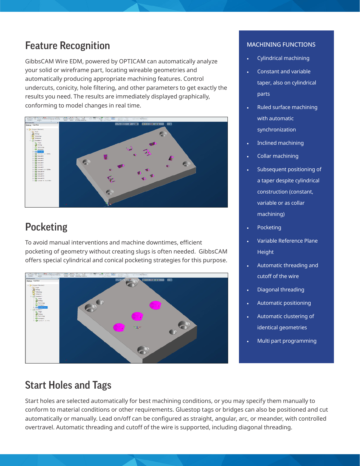## Feature Recognition

GibbsCAM Wire EDM, powered by OPTICAM can automatically analyze your solid or wireframe part, locating wireable geometries and automatically producing appropriate machining features. Control undercuts, conicity, hole filtering, and other parameters to get exactly the results you need. The results are immediately displayed graphically, conforming to model changes in real time.



# **Pocketing**

To avoid manual interventions and machine downtimes, efficient pocketing of geometry without creating slugs is often needed. GibbsCAM offers special cylindrical and conical pocketing strategies for this purpose.



#### MACHINING FUNCTIONS

- Cylindrical machining
- Constant and variable taper, also on cylindrical parts
- Ruled surface machining with automatic synchronization
- Inclined machining
- Collar machining
- Subsequent positioning of a taper despite cylindrical construction (constant, variable or as collar machining)
- **Pocketing**
- Variable Reference Plane **Height**
- Automatic threading and cutoff of the wire
- Diagonal threading
- Automatic positioning
- Automatic clustering of identical geometries
- Multi part programming

## Start Holes and Tags

Start holes are selected automatically for best machining conditions, or you may specify them manually to conform to material conditions or other requirements. Gluestop tags or bridges can also be positioned and cut automatically or manually. Lead on/off can be configured as straight, angular, arc, or meander, with controlled overtravel. Automatic threading and cutoff of the wire is supported, including diagonal threading.